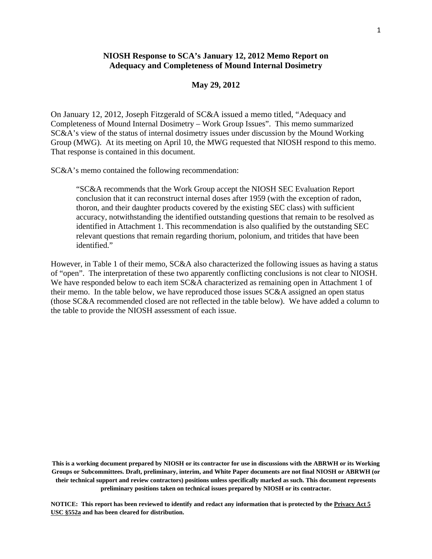## **NIOSH Response to SCA's January 12, 2012 Memo Report on Adequacy and Completeness of Mound Internal Dosimetry**

## **May 29, 2012**

On January 12, 2012, Joseph Fitzgerald of SC&A issued a memo titled, "Adequacy and Completeness of Mound Internal Dosimetry – Work Group Issues". This memo summarized SC&A's view of the status of internal dosimetry issues under discussion by the Mound Working Group (MWG). At its meeting on April 10, the MWG requested that NIOSH respond to this memo. That response is contained in this document.

SC&A's memo contained the following recommendation:

"SC&A recommends that the Work Group accept the NIOSH SEC Evaluation Report conclusion that it can reconstruct internal doses after 1959 (with the exception of radon, thoron, and their daughter products covered by the existing SEC class) with sufficient accuracy, notwithstanding the identified outstanding questions that remain to be resolved as identified in Attachment 1. This recommendation is also qualified by the outstanding SEC relevant questions that remain regarding thorium, polonium, and tritides that have been identified."

However, in Table 1 of their memo, SC&A also characterized the following issues as having a status of "open". The interpretation of these two apparently conflicting conclusions is not clear to NIOSH. We have responded below to each item SC&A characterized as remaining open in Attachment 1 of their memo. In the table below, we have reproduced those issues SC&A assigned an open status (those SC&A recommended closed are not reflected in the table below). We have added a column to the table to provide the NIOSH assessment of each issue.

 **preliminary positions taken on technical issues prepared by NIOSH or its contractor. This is a working document prepared by NIOSH or its contractor for use in discussions with the ABRWH or its Working Groups or Subcommittees. Draft, preliminary, interim, and White Paper documents are not final NIOSH or ABRWH (or their technical support and review contractors) positions unless specifically marked as such. This document represents**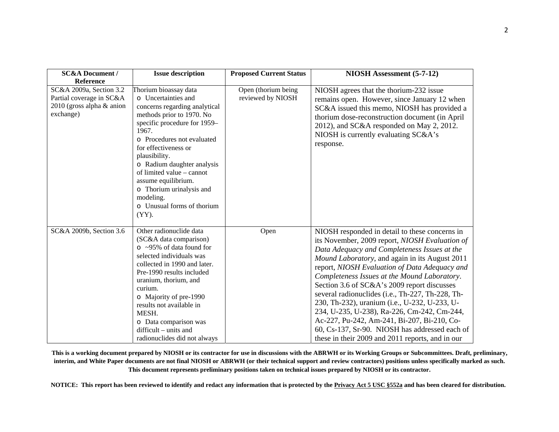| <b>SC&amp;A Document /</b>                                                                      | <b>Issue description</b>                                                                                                                                                                                                                                                                                                                                                                        | <b>Proposed Current Status</b>           | NIOSH Assessment (5-7-12)                                                                                                                                                                                                                                                                                                                                                                                                                                                                                                                                                                                                                                   |
|-------------------------------------------------------------------------------------------------|-------------------------------------------------------------------------------------------------------------------------------------------------------------------------------------------------------------------------------------------------------------------------------------------------------------------------------------------------------------------------------------------------|------------------------------------------|-------------------------------------------------------------------------------------------------------------------------------------------------------------------------------------------------------------------------------------------------------------------------------------------------------------------------------------------------------------------------------------------------------------------------------------------------------------------------------------------------------------------------------------------------------------------------------------------------------------------------------------------------------------|
| Reference                                                                                       |                                                                                                                                                                                                                                                                                                                                                                                                 |                                          |                                                                                                                                                                                                                                                                                                                                                                                                                                                                                                                                                                                                                                                             |
| SC&A 2009a, Section 3.2<br>Partial coverage in SC&A<br>$2010$ (gross alpha & anion<br>exchange) | Thorium bioassay data<br>o Uncertainties and<br>concerns regarding analytical<br>methods prior to 1970. No<br>specific procedure for 1959-<br>1967.<br>o Procedures not evaluated<br>for effectiveness or<br>plausibility.<br>o Radium daughter analysis<br>of limited value - cannot<br>assume equilibrium.<br>o Thorium urinalysis and<br>modeling.<br>o Unusual forms of thorium<br>$(YY)$ . | Open (thorium being<br>reviewed by NIOSH | NIOSH agrees that the thorium-232 issue<br>remains open. However, since January 12 when<br>SC&A issued this memo, NIOSH has provided a<br>thorium dose-reconstruction document (in April<br>2012), and SC&A responded on May 2, 2012.<br>NIOSH is currently evaluating SC&A's<br>response.                                                                                                                                                                                                                                                                                                                                                                  |
| SC&A 2009b, Section 3.6                                                                         | Other radionuclide data<br>(SC&A data comparison)<br>$\circ$ ~95% of data found for<br>selected individuals was<br>collected in 1990 and later.<br>Pre-1990 results included<br>uranium, thorium, and<br>curium.<br>o Majority of pre-1990<br>results not available in<br>MESH.<br>o Data comparison was<br>$difficult - units$ and<br>radionuclides did not always                             | Open                                     | NIOSH responded in detail to these concerns in<br>its November, 2009 report, NIOSH Evaluation of<br>Data Adequacy and Completeness Issues at the<br>Mound Laboratory, and again in its August 2011<br>report, NIOSH Evaluation of Data Adequacy and<br>Completeness Issues at the Mound Laboratory.<br>Section 3.6 of SC&A's 2009 report discusses<br>several radionuclides (i.e., Th-227, Th-228, Th-<br>230, Th-232), uranium (i.e., U-232, U-233, U-<br>234, U-235, U-238), Ra-226, Cm-242, Cm-244,<br>Ac-227, Pu-242, Am-241, Bi-207, Bi-210, Co-<br>60, Cs-137, Sr-90. NIOSH has addressed each of<br>these in their 2009 and 2011 reports, and in our |

**This is a working document prepared by NIOSH or its contractor for use in discussions with the ABRWH or its Working Groups or Subcommittees. Draft, preliminary, interim, and White Paper documents are not final NIOSH or ABRWH (or their technical support and review contractors) positions unless specifically marked as such. This document represents preliminary positions taken on technical issues prepared by NIOSH or its contractor.**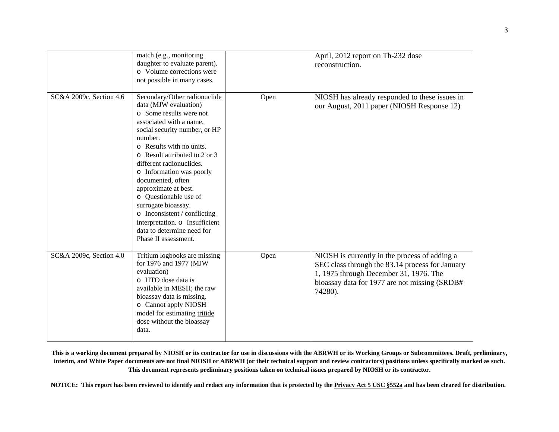|                         | match (e.g., monitoring<br>daughter to evaluate parent).<br>o Volume corrections were<br>not possible in many cases.                                                                                                                                                                                                                                                                                                                                                                              |      | April, 2012 report on Th-232 dose<br>reconstruction.                                                                                                                                                   |
|-------------------------|---------------------------------------------------------------------------------------------------------------------------------------------------------------------------------------------------------------------------------------------------------------------------------------------------------------------------------------------------------------------------------------------------------------------------------------------------------------------------------------------------|------|--------------------------------------------------------------------------------------------------------------------------------------------------------------------------------------------------------|
| SC&A 2009c, Section 4.6 | Secondary/Other radionuclide<br>data (MJW evaluation)<br>o Some results were not<br>associated with a name,<br>social security number, or HP<br>number.<br>o Results with no units.<br>o Result attributed to 2 or 3<br>different radionuclides.<br>o Information was poorly<br>documented, often<br>approximate at best.<br>o Questionable use of<br>surrogate bioassay.<br>o Inconsistent / conflicting<br>interpretation. o Insufficient<br>data to determine need for<br>Phase II assessment. | Open | NIOSH has already responded to these issues in<br>our August, 2011 paper (NIOSH Response 12)                                                                                                           |
| SC&A 2009c, Section 4.0 | Tritium logbooks are missing<br>for 1976 and 1977 (MJW<br>evaluation)<br>o HTO dose data is<br>available in MESH; the raw<br>bioassay data is missing.<br>o Cannot apply NIOSH<br>model for estimating tritide<br>dose without the bioassay<br>data.                                                                                                                                                                                                                                              | Open | NIOSH is currently in the process of adding a<br>SEC class through the 83.14 process for January<br>1, 1975 through December 31, 1976. The<br>bioassay data for 1977 are not missing (SRDB#<br>74280). |

**This is a working document prepared by NIOSH or its contractor for use in discussions with the ABRWH or its Working Groups or Subcommittees. Draft, preliminary, interim, and White Paper documents are not final NIOSH or ABRWH (or their technical support and review contractors) positions unless specifically marked as such. This document represents preliminary positions taken on technical issues prepared by NIOSH or its contractor.**